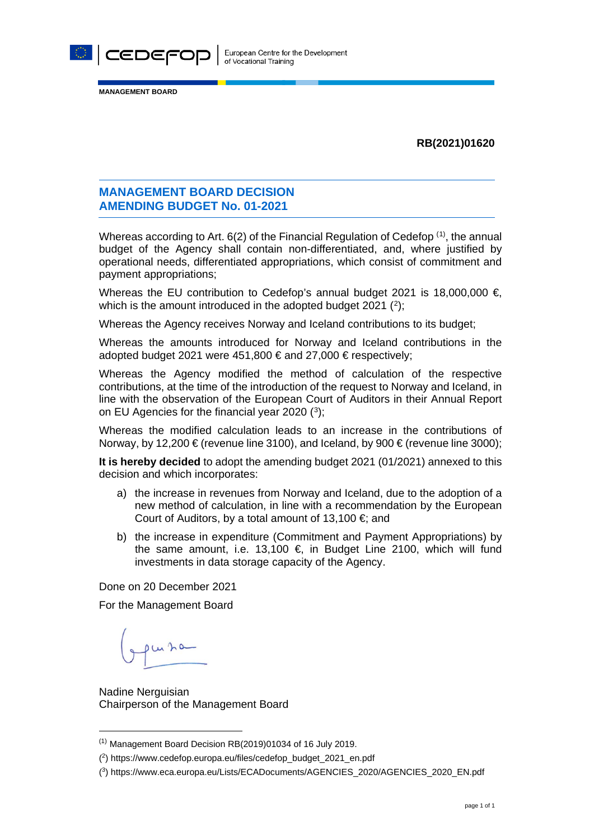

**MANAGEMENT BOARD**

#### **RB(2021)01620**

## **MANAGEMENT BOARD DECISION AMENDING BUDGET No. 01-2021**

Whereas according to Art. 6(2) of the Financial Regulation of Cedefop  $^{(1)}$  $^{(1)}$  $^{(1)}$ , the annual budget of the Agency shall contain non-differentiated, and, where justified by operational needs, differentiated appropriations, which consist of commitment and payment appropriations;

Whereas the EU contribution to Cedefop's annual budget 2021 is 18,000,000  $\in$ which is the amount introduced in the adopted budget  $2021$  $2021$   $(2)$ ;

Whereas the Agency receives Norway and Iceland contributions to its budget;

Whereas the amounts introduced for Norway and Iceland contributions in the adopted budget 2021 were 451,800 € and 27,000 € respectively;

Whereas the Agency modified the method of calculation of the respective contributions, at the time of the introduction of the request to Norway and Iceland, in line with the observation of the European Court of Auditors in their Annual Report on EU Agencies for the financial year 2020 ([3\)](#page-0-2);

Whereas the modified calculation leads to an increase in the contributions of Norway, by 12,200  $\epsilon$  (revenue line 3100), and Iceland, by 900  $\epsilon$  (revenue line 3000);

**It is hereby decided** to adopt the amending budget 2021 (01/2021) annexed to this decision and which incorporates:

- a) the increase in revenues from Norway and Iceland, due to the adoption of a new method of calculation, in line with a recommendation by the European Court of Auditors, by a total amount of 13,100  $\epsilon$ ; and
- b) the increase in expenditure (Commitment and Payment Appropriations) by the same amount, i.e. 13,100  $\epsilon$ , in Budget Line 2100, which will fund investments in data storage capacity of the Agency.

Done on 20 December 2021

For the Management Board

pursa

Nadine Nerguisian Chairperson of the Management Board

<span id="page-0-0"></span> $(1)$  Management Board Decision RB $(2019)01034$  of 16 July 2019.

<span id="page-0-1"></span><sup>(2)</sup> https://www.cedefop.europa.eu/files/cedefop\_budget\_2021\_en.pdf

<span id="page-0-2"></span><sup>(3)</sup> https://www.eca.europa.eu/Lists/ECADocuments/AGENCIES\_2020/AGENCIES\_2020\_EN.pdf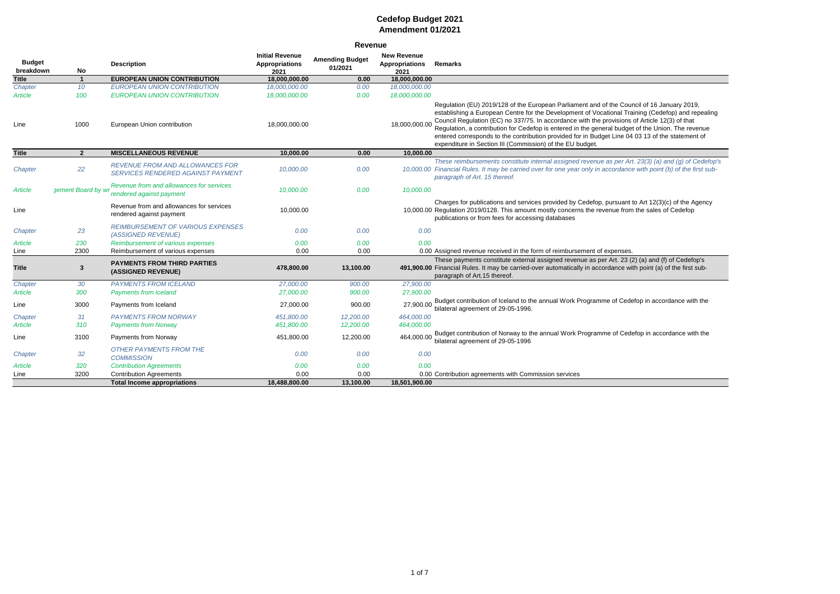| <b>Revenue</b>             |                    |                                                                             |                                                         |                                   |                                                     |                                                                                                                                                                                                                                                                                                                                                                                                                                                                                                                                                                        |  |  |  |  |  |
|----------------------------|--------------------|-----------------------------------------------------------------------------|---------------------------------------------------------|-----------------------------------|-----------------------------------------------------|------------------------------------------------------------------------------------------------------------------------------------------------------------------------------------------------------------------------------------------------------------------------------------------------------------------------------------------------------------------------------------------------------------------------------------------------------------------------------------------------------------------------------------------------------------------------|--|--|--|--|--|
| <b>Budget</b><br>breakdown | No                 | <b>Description</b>                                                          | <b>Initial Revenue</b><br><b>Appropriations</b><br>2021 | <b>Amending Budget</b><br>01/2021 | <b>New Revenue</b><br><b>Appropriations</b><br>2021 | <b>Remarks</b>                                                                                                                                                                                                                                                                                                                                                                                                                                                                                                                                                         |  |  |  |  |  |
| <b>Title</b>               | $\overline{1}$     | <b>EUROPEAN UNION CONTRIBUTION</b>                                          | 18,000,000.00                                           | 0.00                              | 18,000,000.00                                       |                                                                                                                                                                                                                                                                                                                                                                                                                                                                                                                                                                        |  |  |  |  |  |
| Chapter                    | 10 <sup>°</sup>    | <b>EUROPEAN UNION CONTRIBUTION</b>                                          | 18,000,000.00                                           | 0.00                              | 18,000,000.00                                       |                                                                                                                                                                                                                                                                                                                                                                                                                                                                                                                                                                        |  |  |  |  |  |
| Article                    | 100                | <b>EUROPEAN UNION CONTRIBUTION</b>                                          | 18,000,000.00                                           | 0.00                              | 18,000,000.00                                       |                                                                                                                                                                                                                                                                                                                                                                                                                                                                                                                                                                        |  |  |  |  |  |
| Line                       | 1000               | European Union contribution                                                 | 18,000,000.00                                           |                                   | 18,000,000.00                                       | Regulation (EU) 2019/128 of the European Parliament and of the Council of 16 January 2019,<br>establishing a European Centre for the Development of Vocational Training (Cedefop) and repealing<br>Council Regulation (EC) no 337/75. In accordance with the provisions of Article 12(3) of that<br>Regulation, a contribution for Cedefop is entered in the general budget of the Union. The revenue<br>entered corresponds to the contribution provided for in Budget Line 04 03 13 of the statement of<br>expenditure in Section III (Commission) of the EU budget. |  |  |  |  |  |
| <b>Title</b>               | $\overline{2}$     | <b>MISCELLANEOUS REVENUE</b>                                                | 10,000.00                                               | 0.00                              | 10,000.00                                           |                                                                                                                                                                                                                                                                                                                                                                                                                                                                                                                                                                        |  |  |  |  |  |
| Chapter                    | 22                 | <b>REVENUE FROM AND ALLOWANCES FOR</b><br>SERVICES RENDERED AGAINST PAYMENT | 10,000.00                                               | 0.00                              |                                                     | These reimbursements constitute internal assigned revenue as per Art. 23(3) (a) and (g) of Cedefop's<br>10,000.00 Financial Rules. It may be carried over for one year only in accordance with point (b) of the first sub-<br>paragraph of Art. 15 thereof.                                                                                                                                                                                                                                                                                                            |  |  |  |  |  |
| Article                    | gement Board by wi | Revenue from and allowances for services<br>rendered against payment        | 10,000.00                                               | 0.00                              | 10,000.00                                           |                                                                                                                                                                                                                                                                                                                                                                                                                                                                                                                                                                        |  |  |  |  |  |
| Line                       |                    | Revenue from and allowances for services<br>rendered against payment        | 10,000.00                                               |                                   |                                                     | Charges for publications and services provided by Cedefop, pursuant to Art 12(3)(c) of the Agency<br>10,000.00 Regulation 2019/0128. This amount mostly concerns the revenue from the sales of Cedefop<br>publications or from fees for accessing databases                                                                                                                                                                                                                                                                                                            |  |  |  |  |  |
| Chapter                    | 23                 | <b>REIMBURSEMENT OF VARIOUS EXPENSES</b><br>(ASSIGNED REVENUE)              | 0.00                                                    | 0.00                              | 0.00                                                |                                                                                                                                                                                                                                                                                                                                                                                                                                                                                                                                                                        |  |  |  |  |  |
| <b>Article</b>             | 230                | Reimbursement of various expenses                                           | 0.00                                                    | 0.00                              | 0.00                                                |                                                                                                                                                                                                                                                                                                                                                                                                                                                                                                                                                                        |  |  |  |  |  |
| Line                       | 2300               | Reimbursement of various expenses                                           | 0.00                                                    | 0.00                              |                                                     | 0.00 Assigned revenue received in the form of reimbursement of expenses.                                                                                                                                                                                                                                                                                                                                                                                                                                                                                               |  |  |  |  |  |
| <b>Title</b>               | $\mathbf{3}$       | <b>PAYMENTS FROM THIRD PARTIES</b><br>(ASSIGNED REVENUE)                    | 478,800.00                                              | 13,100.00                         |                                                     | These payments constitute external assigned revenue as per Art. 23 (2) (a) and (f) of Cedefop's<br>491,900.00 Financial Rules. It may be carried-over automatically in accordance with point (a) of the first sub-<br>paragraph of Art.15 thereof.                                                                                                                                                                                                                                                                                                                     |  |  |  |  |  |
| Chapter                    | 30                 | <b>PAYMENTS FROM ICELAND</b>                                                | 27,000.00                                               | 900.00                            | 27,900.00                                           |                                                                                                                                                                                                                                                                                                                                                                                                                                                                                                                                                                        |  |  |  |  |  |
| Article                    | 300                | <b>Payments from Iceland</b>                                                | 27,000.00                                               | 900.00                            | 27,900.00                                           |                                                                                                                                                                                                                                                                                                                                                                                                                                                                                                                                                                        |  |  |  |  |  |
| Line                       | 3000               | Payments from Iceland                                                       | 27,000.00                                               | 900.00                            | 27,900.00                                           | Budget contribution of Iceland to the annual Work Programme of Cedefop in accordance with the<br>bilateral agreement of 29-05-1996.                                                                                                                                                                                                                                                                                                                                                                                                                                    |  |  |  |  |  |
| Chapter                    | 31                 | <b>PAYMENTS FROM NORWAY</b>                                                 | 451,800.00                                              | 12,200.00                         | 464,000.00                                          |                                                                                                                                                                                                                                                                                                                                                                                                                                                                                                                                                                        |  |  |  |  |  |
| Article                    | 310                | <b>Payments from Norway</b>                                                 | 451,800.00                                              | 12,200.00                         | 464,000.00                                          |                                                                                                                                                                                                                                                                                                                                                                                                                                                                                                                                                                        |  |  |  |  |  |
| Line                       | 3100               | Payments from Norway                                                        | 451,800.00                                              | 12,200.00                         | 464,000.00                                          | Budget contribution of Norway to the annual Work Programme of Cedefop in accordance with the<br>bilateral agreement of 29-05-1996                                                                                                                                                                                                                                                                                                                                                                                                                                      |  |  |  |  |  |
| Chapter                    | 32                 | <b>OTHER PAYMENTS FROM THE</b><br><b>COMMISSION</b>                         | 0.00                                                    | 0.00                              | 0.00                                                |                                                                                                                                                                                                                                                                                                                                                                                                                                                                                                                                                                        |  |  |  |  |  |
| Article                    | 320                | <b>Contribution Agreements</b>                                              | 0.00                                                    | 0.00                              | 0.00                                                |                                                                                                                                                                                                                                                                                                                                                                                                                                                                                                                                                                        |  |  |  |  |  |
| Line                       | 3200               | <b>Contribution Agreements</b>                                              | 0.00                                                    | 0.00                              |                                                     | 0.00 Contribution agreements with Commission services                                                                                                                                                                                                                                                                                                                                                                                                                                                                                                                  |  |  |  |  |  |
|                            |                    | <b>Total Income appropriations</b>                                          | 18,488,800.00                                           | 13,100.00                         | 18,501,900.00                                       |                                                                                                                                                                                                                                                                                                                                                                                                                                                                                                                                                                        |  |  |  |  |  |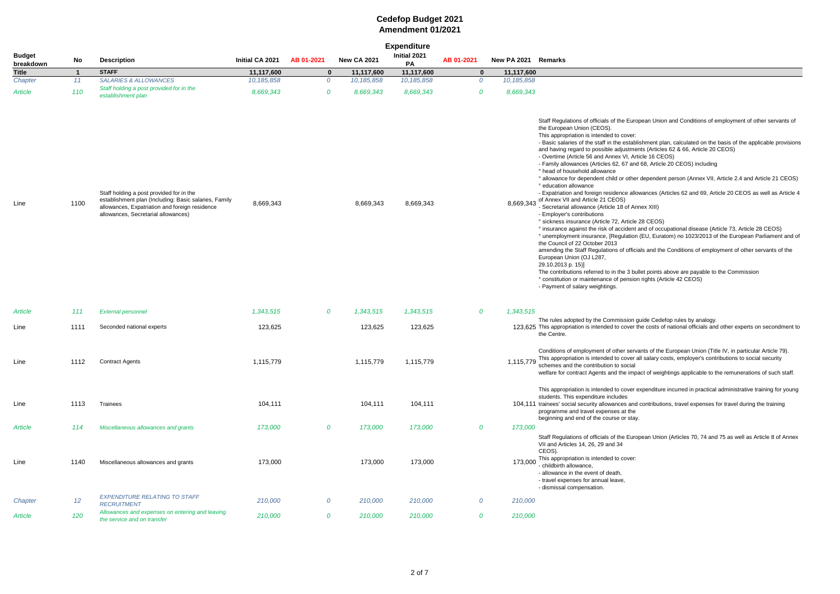|                            |              |                                                                                                                                                                                            |                 |                  |                    | <b>Expenditure</b> |                |                     |                                                                                                                                                                                                                                                                                                                                                                                                                                                                                                                                                                                                                                                                                                                                                                                                                                                                                                                                                                                  |
|----------------------------|--------------|--------------------------------------------------------------------------------------------------------------------------------------------------------------------------------------------|-----------------|------------------|--------------------|--------------------|----------------|---------------------|----------------------------------------------------------------------------------------------------------------------------------------------------------------------------------------------------------------------------------------------------------------------------------------------------------------------------------------------------------------------------------------------------------------------------------------------------------------------------------------------------------------------------------------------------------------------------------------------------------------------------------------------------------------------------------------------------------------------------------------------------------------------------------------------------------------------------------------------------------------------------------------------------------------------------------------------------------------------------------|
| <b>Budget</b><br>breakdown | No           | <b>Description</b>                                                                                                                                                                         | Initial CA 2021 | AB 01-2021       | <b>New CA 2021</b> | Initial 2021<br>PA | AB 01-2021     | New PA 2021 Remarks |                                                                                                                                                                                                                                                                                                                                                                                                                                                                                                                                                                                                                                                                                                                                                                                                                                                                                                                                                                                  |
| <b>Title</b>               | $\mathbf{1}$ | <b>STAFF</b>                                                                                                                                                                               | 11,117,600      | $\mathbf 0$      | 11,117,600         | 11,117,600         | $\mathbf 0$    | 11,117,600          |                                                                                                                                                                                                                                                                                                                                                                                                                                                                                                                                                                                                                                                                                                                                                                                                                                                                                                                                                                                  |
| Chapter                    | 11           | SALARIES & ALLOWANCES                                                                                                                                                                      | 10,185,858      | $\overline{O}$   | 10,185,858         | 10,185,858         | $\overline{O}$ | 10,185,858          |                                                                                                                                                                                                                                                                                                                                                                                                                                                                                                                                                                                                                                                                                                                                                                                                                                                                                                                                                                                  |
| Article                    | 110          | Staff holding a post provided for in the<br>establishment plan                                                                                                                             | 8,669,343       | 0                | 8,669,343          | 8,669,343          | 0              | 8,669,343           |                                                                                                                                                                                                                                                                                                                                                                                                                                                                                                                                                                                                                                                                                                                                                                                                                                                                                                                                                                                  |
| Line                       | 1100         | Staff holding a post provided for in the<br>establishment plan (Including: Basic salaries, Family<br>allowances, Expatriation and foreign residence<br>allowances, Secretarial allowances) | 8,669,343       |                  | 8,669,343          | 8,669,343          |                | 8,669,343           | Staff Regulations of officials of the Euro<br>the European Union (CEOS).<br>This appropriation is intended to cover:<br>- Basic salaries of the staff in the establi<br>and having regard to possible adjustmer<br>- Overtime (Article 56 and Annex VI, Arti<br>- Family allowances (Articles 62, 67 and<br>° head of household allowance<br>° allowance for dependent child or other<br>° education allowance<br>- Expatriation and foreign residence allo<br>of Annex VII and Article 21 CEOS)<br>- Secretarial allowance (Article 18 of Anı<br>- Employer's contributions<br>° sickness insurance (Article 72, Article 3<br>° insurance against the risk of accident a<br>° unemployment insurance, [Regulation<br>the Council of 22 October 2013<br>amending the Staff Regulations of officia<br>European Union (OJ L287,<br>29.10.2013 p. 15)]<br>The contributions referred to in the 3 bul<br>° constitution or maintenance of pension<br>- Payment of salary weightings. |
| Article                    | 111          | <b>External personnel</b>                                                                                                                                                                  | 1,343,515       | 0                | 1,343,515          | 1,343,515          | 0              | 1,343,515           |                                                                                                                                                                                                                                                                                                                                                                                                                                                                                                                                                                                                                                                                                                                                                                                                                                                                                                                                                                                  |
| Line                       | 1111         | Seconded national experts                                                                                                                                                                  | 123,625         |                  | 123,625            | 123,625            |                |                     | The rules adopted by the Commission g<br>123,625 This appropriation is intended to cover tl<br>the Centre.                                                                                                                                                                                                                                                                                                                                                                                                                                                                                                                                                                                                                                                                                                                                                                                                                                                                       |
| Line                       | 1112         | <b>Contract Agents</b>                                                                                                                                                                     | 1,115,779       |                  | 1,115,779          | 1,115,779          |                | 1,115,779           | Conditions of employment of other serva<br>This appropriation is intended to cover a<br>schemes and the contribution to social<br>welfare for contract Agents and the impa                                                                                                                                                                                                                                                                                                                                                                                                                                                                                                                                                                                                                                                                                                                                                                                                       |
| Line                       | 1113         | Trainees                                                                                                                                                                                   | 104,111         |                  | 104,111            | 104,111            |                |                     | This appropriation is intended to cover e<br>students. This expenditure includes<br>104,111 trainees' social security allowances and<br>programme and travel expenses at the<br>beginning and end of the course or stay.                                                                                                                                                                                                                                                                                                                                                                                                                                                                                                                                                                                                                                                                                                                                                         |
| Article                    | 114          | Miscellaneous allowances and grants                                                                                                                                                        | 173,000         | $\boldsymbol{o}$ | 173,000            | 173,000            | 0              | 173,000             | Staff Regulations of officials of the Europ                                                                                                                                                                                                                                                                                                                                                                                                                                                                                                                                                                                                                                                                                                                                                                                                                                                                                                                                      |
| Line                       | 1140         | Miscellaneous allowances and grants                                                                                                                                                        | 173,000         |                  | 173,000            | 173,000            |                | 173,000             | VII and Articles 14, 26, 29 and 34<br>CEOS).<br>This appropriation is intended to cover:<br>- childbirth allowance,<br>- allowance in the event of death,<br>- travel expenses for annual leave,<br>- dismissal compensation.                                                                                                                                                                                                                                                                                                                                                                                                                                                                                                                                                                                                                                                                                                                                                    |
| Chapter                    | 12           | <b>EXPENDITURE RELATING TO STAFF</b><br><b>RECRUITMENT</b>                                                                                                                                 | 210,000         | 0                | 210,000            | 210,000            | 0              | 210,000             |                                                                                                                                                                                                                                                                                                                                                                                                                                                                                                                                                                                                                                                                                                                                                                                                                                                                                                                                                                                  |
| Article                    | 120          | Allowances and expenses on entering and leaving<br>the service and on transfer                                                                                                             | 210,000         | 0                | 210,000            | 210,000            | 0              | 210,000             |                                                                                                                                                                                                                                                                                                                                                                                                                                                                                                                                                                                                                                                                                                                                                                                                                                                                                                                                                                                  |

ropean Union and Conditions of employment of other servants of blishment plan, calculated on the basis of the applicable provisions ents (Articles 62 & 66, Article 20 CEOS) rticle 16 CEOS) nd 68, Article 20 CEOS) including

er dependent person (Annex VII, Article 2.4 and Article 21 CEOS)

lowances (Articles 62 and 69, Article 20 CEOS as well as Article 4

mex XIII)

28 CEOS) t and of occupational disease (Article 73, Article 28 CEOS) (EU, Euratom) no 1023/2013 of the European Parliament and of

cials and the Conditions of employment of other servants of the

ullet points above are payable to the Commission on rights (Article 42 CEOS)

guide Cedefop rules by analogy. the costs of national officials and other experts on secondment to

vants of the European Union (Title IV, in particular Article 79). all salary costs, employer's contributions to social security

pact of weightings applicable to the remunerations of such staff.

expenditure incurred in practical administrative training for young

d contributions, travel expenses for travel during the training

opean Union (Articles 70, 74 and 75 as well as Article 8 of Annex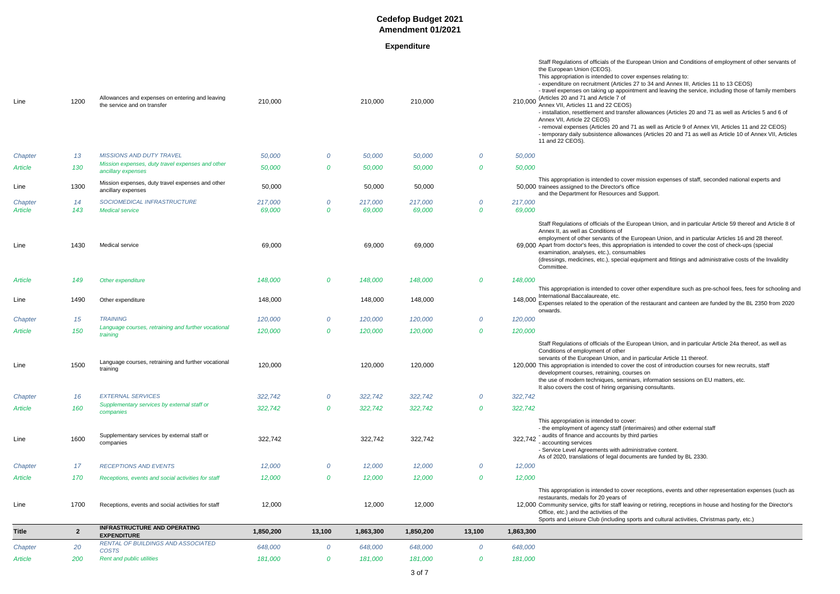**Expenditure**

Staff Regulations of officials of the European Union and Conditions of employment of other servants of

r expenses relating to: 27 to 34 and Annex III, Articles 11 to 13 CEOS) tment and leaving the service, including those of family members

r allowances (Articles 20 and 71 as well as Articles 5 and 6 of

71 as well as Article 9 of Annex VII, Articles 11 and 22 CEOS) ces (Articles 20 and 71 as well as Article 10 of Annex VII, Articles

mission expenses of staff, seconded national experts and

nd Support.

aropean Union, and in particular Article 59 thereof and Article 8 of

European Union, and in particular Articles 16 and 28 thereof. ation is intended to cover the cost of check-ups (special ables

equipment and fittings and administrative costs of the Invalidity

r other expenditure such as pre-school fees, fees for schooling and

the restaurant and canteen are funded by the BL 2350 from 2020

ropean Union, and in particular Article 24a thereof, as well as

in particular Article 11 thereof.

r the cost of introduction courses for new recruits, staff

rses on

ars, information sessions on EU matters, etc.

sing consultants.

rimaires) and other external staff ird parties

inistrative content. ments are funded by BL 2330.

r receptions, events and other representation expenses (such as

ing or retiring, receptions in house and hosting for the Director's

orts and cultural activities, Christmas party, etc.)

| Line                      | 1200         | Allowances and expenses on entering and leaving<br>the service and on transfer | 210,000           |        | 210,000           | 210,000           |                | 210,000           | the European Union (CEOS).<br>This appropriation is intended to cover e<br>- expenditure on recruitment (Articles 27<br>- travel expenses on taking up appointm<br>(Articles 20 and 71 and Article 7 of<br>Annex VII, Articles 11 and 22 CEOS)<br>- installation, resettlement and transfer a<br>Annex VII, Article 22 CEOS)<br>- removal expenses (Articles 20 and 71<br>- temporary daily subsistence allowance<br>11 and 22 CEOS). |
|---------------------------|--------------|--------------------------------------------------------------------------------|-------------------|--------|-------------------|-------------------|----------------|-------------------|---------------------------------------------------------------------------------------------------------------------------------------------------------------------------------------------------------------------------------------------------------------------------------------------------------------------------------------------------------------------------------------------------------------------------------------|
| Chapter                   | 13           | <b>MISSIONS AND DUTY TRAVEL</b>                                                | 50,000            | 0      | 50,000            | 50,000            | $\overline{O}$ | 50,000            |                                                                                                                                                                                                                                                                                                                                                                                                                                       |
| Article                   | 130          | Mission expenses, duty travel expenses and other<br>ancillary expenses         | 50,000            | 0      | 50,000            | 50,000            | 0              | 50,000            |                                                                                                                                                                                                                                                                                                                                                                                                                                       |
| Line                      | 1300         | Mission expenses, duty travel expenses and other<br>ancillary expenses         | 50,000            |        | 50,000            | 50,000            |                |                   | This appropriation is intended to cover n<br>50,000 trainees assigned to the Director's office<br>and the Department for Resources and                                                                                                                                                                                                                                                                                                |
| Chapter<br><b>Article</b> | 14<br>143    | SOCIOMEDICAL INFRASTRUCTURE<br><b>Medical service</b>                          | 217,000<br>69,000 | 0<br>0 | 217,000<br>69,000 | 217,000<br>69,000 | 0<br>$\bm{o}$  | 217,000<br>69,000 |                                                                                                                                                                                                                                                                                                                                                                                                                                       |
| Line                      | 1430         | Medical service                                                                | 69,000            |        | 69,000            | 69,000            |                |                   | Staff Regulations of officials of the Euro<br>Annex II, as well as Conditions of<br>employment of other servants of the Eur<br>69,000 Apart from doctor's fees, this appropriati<br>examination, analyses, etc.), consumabl<br>(dressings, medicines, etc.), special equ<br>Committee.                                                                                                                                                |
| Article                   | 149          | Other expenditure                                                              | 148,000           | 0      | 148,000           | 148,000           | $\bm{o}$       | 148,000           |                                                                                                                                                                                                                                                                                                                                                                                                                                       |
| Line                      | 1490         | Other expenditure                                                              | 148,000           |        | 148,000           | 148,000           |                | 148,000           | This appropriation is intended to cover o<br>International Baccalaureate, etc.<br>Expenses related to the operation of the<br>onwards.                                                                                                                                                                                                                                                                                                |
| Chapter                   | 15           | <b>TRAINING</b>                                                                | 120,000           | 0      | 120,000           | 120,000           | $\overline{O}$ | 120,000           |                                                                                                                                                                                                                                                                                                                                                                                                                                       |
| Article                   | 150          | Language courses, retraining and further vocational<br>training                | 120,000           | 0      | 120,000           | 120,000           | $\bm{o}$       | 120,000           |                                                                                                                                                                                                                                                                                                                                                                                                                                       |
| Line                      | 1500         | Language courses, retraining and further vocational<br>training                | 120,000           |        | 120,000           | 120,000           |                |                   | Staff Regulations of officials of the Euro<br>Conditions of employment of other<br>servants of the European Union, and in<br>120,000 This appropriation is intended to cover tl<br>development courses, retraining, course<br>the use of modern techniques, seminars<br>It also covers the cost of hiring organisin                                                                                                                   |
| Chapter                   | 16           | <b>EXTERNAL SERVICES</b>                                                       | 322,742           | 0      | 322,742           | 322,742           | 0              | 322,742           |                                                                                                                                                                                                                                                                                                                                                                                                                                       |
| Article                   | 160          | Supplementary services by external staff or<br>companies                       | 322,742           | 0      | 322,742           | 322,742           | 0              | 322,742           |                                                                                                                                                                                                                                                                                                                                                                                                                                       |
| Line                      | 1600         | Supplementary services by external staff or<br>companies                       | 322,742           |        | 322,742           | 322,742           |                | 322,742           | This appropriation is intended to cover:<br>- the employment of agency staff (interir<br>- audits of finance and accounts by third<br>- accounting services<br>- Service Level Agreements with adminis<br>As of 2020, translations of legal docume                                                                                                                                                                                    |
| Chapter                   | 17           | <b>RECEPTIONS AND EVENTS</b>                                                   | 12,000            | 0      | 12,000            | 12,000            | $\overline{O}$ | 12,000            |                                                                                                                                                                                                                                                                                                                                                                                                                                       |
| Article                   | 170          | Receptions, events and social activities for staff                             | 12,000            | 0      | 12,000            | 12,000            | 0              | 12,000            |                                                                                                                                                                                                                                                                                                                                                                                                                                       |
| Line                      | 1700         | Receptions, events and social activities for staff                             | 12,000            |        | 12,000            | 12,000            |                |                   | This appropriation is intended to cover re<br>restaurants, medals for 20 years of<br>12,000 Community service, gifts for staff leaving<br>Office, etc.) and the activities of the<br>Sports and Leisure Club (including sport                                                                                                                                                                                                         |
| <b>Title</b>              | $\mathbf{2}$ | <b>INFRASTRUCTURE AND OPERATING</b><br><b>EXPENDITURE</b>                      | 1,850,200         | 13,100 | 1,863,300         | 1,850,200         | 13,100         | 1,863,300         |                                                                                                                                                                                                                                                                                                                                                                                                                                       |
| Chapter                   | 20           | RENTAL OF BUILDINGS AND ASSOCIATED<br><b>COSTS</b>                             | 648,000           | 0      | 648,000           | 648,000           | $\overline{O}$ | 648,000           |                                                                                                                                                                                                                                                                                                                                                                                                                                       |
| Article                   | 200          | Rent and public utilities                                                      | 181,000           | 0      | 181,000           | 181,000           | 0              | 181,000           |                                                                                                                                                                                                                                                                                                                                                                                                                                       |
|                           |              |                                                                                |                   |        |                   | 3 of 7            |                |                   |                                                                                                                                                                                                                                                                                                                                                                                                                                       |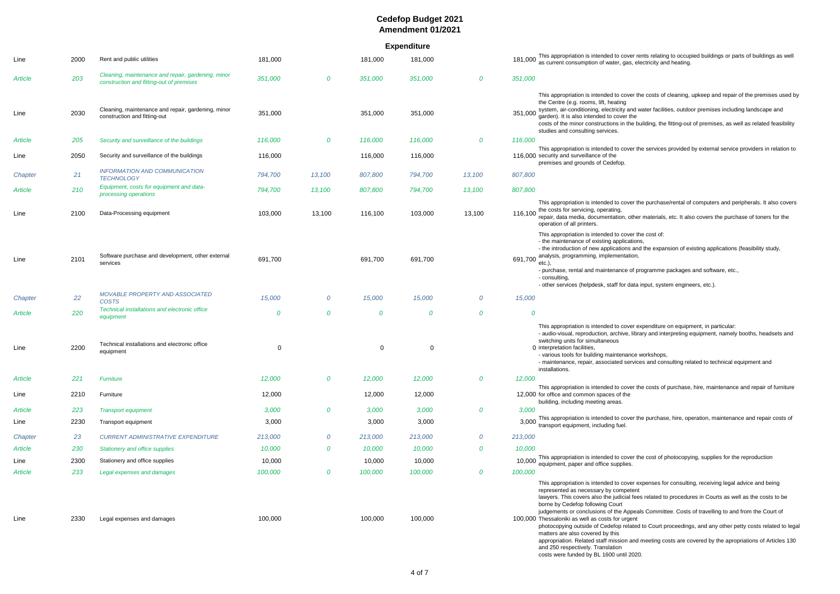**Expenditure**

|         |      |                                                                                                |             |                  |         | Experimente    |                |                                                                                                                                                                                                                                                                                                                                                                                                                                                                                                                                                                                                                                                                                                                                                             |
|---------|------|------------------------------------------------------------------------------------------------|-------------|------------------|---------|----------------|----------------|-------------------------------------------------------------------------------------------------------------------------------------------------------------------------------------------------------------------------------------------------------------------------------------------------------------------------------------------------------------------------------------------------------------------------------------------------------------------------------------------------------------------------------------------------------------------------------------------------------------------------------------------------------------------------------------------------------------------------------------------------------------|
| Line    | 2000 | Rent and public utilities                                                                      | 181,000     |                  | 181,000 | 181,000        |                | This appropriation is intended to cover rents relating to occupied buildings or parts of buildings<br>181,000<br>as current consumption of water, gas, electricity and heating.                                                                                                                                                                                                                                                                                                                                                                                                                                                                                                                                                                             |
| Article | 203  | Cleaning, maintenance and repair, gardening, minor<br>construction and fitting-out of premises | 351,000     | 0                | 351,000 | 351,000        | 0              | 351,000                                                                                                                                                                                                                                                                                                                                                                                                                                                                                                                                                                                                                                                                                                                                                     |
| Line    | 2030 | Cleaning, maintenance and repair, gardening, minor<br>construction and fitting-out             | 351,000     |                  | 351,000 | 351,000        |                | This appropriation is intended to cover the costs of cleaning, upkeep and repair of the premise<br>the Centre (e.g. rooms, lift, heating<br>system, air-conditioning, electricity and water facilities, outdoor premises including landscape<br>351,000<br>garden). It is also intended to cover the<br>costs of the minor constructions in the building, the fitting-out of premises, as well as related f<br>studies and consulting services.                                                                                                                                                                                                                                                                                                             |
| Article | 205  | Security and surveillance of the buildings                                                     | 116,000     | $\boldsymbol{o}$ | 116,000 | 116,000        | 0              | 116,000                                                                                                                                                                                                                                                                                                                                                                                                                                                                                                                                                                                                                                                                                                                                                     |
| Line    | 2050 | Security and surveillance of the buildings                                                     | 116,000     |                  | 116,000 | 116,000        |                | This appropriation is intended to cover the services provided by external service providers in r<br>116,000 security and surveillance of the<br>premises and grounds of Cedefop.                                                                                                                                                                                                                                                                                                                                                                                                                                                                                                                                                                            |
| Chapter | 21   | INFORMATION AND COMMUNICATION<br><b>TECHNOLOGY</b>                                             | 794,700     | 13,100           | 807,800 | 794,700        | 13,100         | 807,800                                                                                                                                                                                                                                                                                                                                                                                                                                                                                                                                                                                                                                                                                                                                                     |
| Article | 210  | Equipment, costs for equipment and data-<br>processing operations                              | 794,700     | 13,100           | 807,800 | 794,700        | 13,100         | 807,800                                                                                                                                                                                                                                                                                                                                                                                                                                                                                                                                                                                                                                                                                                                                                     |
| Line    | 2100 | Data-Processing equipment                                                                      | 103,000     | 13,100           | 116,100 | 103,000        | 13,100         | This appropriation is intended to cover the purchase/rental of computers and peripherals. It als<br>the costs for servicing, operating,<br>116,100<br>repair, data media, documentation, other materials, etc. It also covers the purchase of toners<br>operation of all printers.                                                                                                                                                                                                                                                                                                                                                                                                                                                                          |
| Line    | 2101 | Software purchase and development, other external<br>services                                  | 691,700     |                  | 691,700 | 691,700        |                | This appropriation is intended to cover the cost of:<br>- the maintenance of existing applications,<br>- the introduction of new applications and the expansion of existing applications (feasibility stu<br>analysis, programming, implementation,<br>691,700<br>- purchase, rental and maintenance of programme packages and software, etc.,<br>- consulting,<br>- other services (helpdesk, staff for data input, system engineers, etc.).                                                                                                                                                                                                                                                                                                               |
| Chapter | 22   | MOVABLE PROPERTY AND ASSOCIATED<br><b>COSTS</b>                                                | 15,000      | 0                | 15,000  | 15,000         | 0              | 15,000                                                                                                                                                                                                                                                                                                                                                                                                                                                                                                                                                                                                                                                                                                                                                      |
| Article | 220  | Technical installations and electronic office<br>equipment                                     | $\Omega$    | $\overline{0}$   | 0       | $\overline{0}$ | 0              | 0                                                                                                                                                                                                                                                                                                                                                                                                                                                                                                                                                                                                                                                                                                                                                           |
| Line    | 2200 | Technical installations and electronic office<br>equipment                                     | $\mathbf 0$ |                  | 0       | $\mathbf 0$    |                | This appropriation is intended to cover expenditure on equipment, in particular:<br>- audio-visual, reproduction, archive, library and interpreting equipment, namely booths, heads<br>switching units for simultaneous<br>0 interpretation facilities.<br>- various tools for building maintenance workshops,<br>- maintenance, repair, associated services and consulting related to technical equipment and<br>installations.                                                                                                                                                                                                                                                                                                                            |
| Article | 221  | <b>Furniture</b>                                                                               | 12,000      | 0                | 12,000  | 12,000         | 0              | 12,000                                                                                                                                                                                                                                                                                                                                                                                                                                                                                                                                                                                                                                                                                                                                                      |
| Line    | 2210 | Furniture                                                                                      | 12,000      |                  | 12,000  | 12,000         |                | This appropriation is intended to cover the costs of purchase, hire, maintenance and repair of<br>12,000 for office and common spaces of the<br>building, including meeting areas.                                                                                                                                                                                                                                                                                                                                                                                                                                                                                                                                                                          |
| Article | 223  | <b>Transport equipment</b>                                                                     | 3,000       | $\boldsymbol{0}$ | 3,000   | 3,000          | 0              | 3,000<br>This appropriation is intended to cover the purchase, hire, operation, maintenance and repair                                                                                                                                                                                                                                                                                                                                                                                                                                                                                                                                                                                                                                                      |
| Line    | 2230 | Transport equipment                                                                            | 3,000       |                  | 3,000   | 3,000          |                | 3,000<br>transport equipment, including fuel.                                                                                                                                                                                                                                                                                                                                                                                                                                                                                                                                                                                                                                                                                                               |
| Chapter | 23   | <b>CURRENT ADMINISTRATIVE EXPENDITURE</b>                                                      | 213,000     | 0                | 213,000 | 213,000        | $\overline{O}$ | 213,000                                                                                                                                                                                                                                                                                                                                                                                                                                                                                                                                                                                                                                                                                                                                                     |
| Article | 230  | <b>Stationery and office supplies</b>                                                          | 10,000      | 0                | 10,000  | 10,000         | 0              | 10,000                                                                                                                                                                                                                                                                                                                                                                                                                                                                                                                                                                                                                                                                                                                                                      |
| Line    | 2300 | Stationery and office supplies                                                                 | 10,000      |                  | 10,000  | 10,000         |                | This appropriation is intended to cover the cost of photocopying, supplies for the reproduction<br>10,000<br>equipment, paper and office supplies.                                                                                                                                                                                                                                                                                                                                                                                                                                                                                                                                                                                                          |
| Article | 233  | Legal expenses and damages                                                                     | 100,000     | 0                | 100,000 | 100,000        | 0              | 100,000                                                                                                                                                                                                                                                                                                                                                                                                                                                                                                                                                                                                                                                                                                                                                     |
| Line    | 2330 | Legal expenses and damages                                                                     | 100,000     |                  | 100,000 | 100,000        |                | This appropriation is intended to cover expenses for consulting, receiving legal advice and bei<br>represented as necessary by competent<br>lawyers. This covers also the judicial fees related to procedures in Courts as well as the costs<br>borne by Cedefop following Court<br>judgements or conclusions of the Appeals Committee. Costs of travelling to and from the Cou<br>100,000 Thessaloniki as well as costs for urgent<br>photocopying outside of Cedefop related to Court proceedings, and any other petty costs relat<br>matters are also covered by this<br>appropriation. Related staff mission and meeting costs are covered by the apropriations of Art<br>and 250 respectively. Translation<br>costs were funded by BL 1600 until 2020. |

rine 2000 rent and public utilities is and public utilities to this intended to contain it in this rents relat electricity and heating.

r the costs of cleaning, upkeep and repair of the premises used by I water facilities, outdoor premises including landscape and

building, the fitting-out of premises, as well as related feasibility

If the services provided by external service providers in relation to

r the purchase/rental of computers and peripherals. It also covers

her materials, etc. It also covers the purchase of toners for the

and the expansion of existing applications (feasibility study,

r expenditure on equipment, in particular: brary and interpreting equipment, namely booths, headsets and

r the costs of purchase, hire, maintenance and repair of furniture

r the purchase, hire, operation, maintenance and repair costs of

rexpenses for consulting, receiving legal advice and being ees related to procedures in Courts as well as the costs to be

eals Committee. Costs of travelling to and from the Court of

ed to Court proceedings, and any other petty costs related to legal

ad meeting costs are covered by the apropriations of Articles 130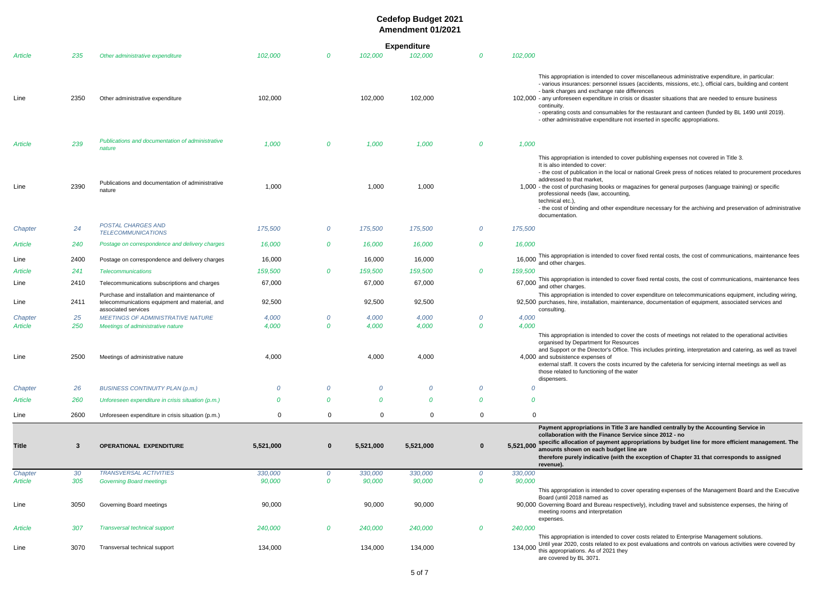|                        |             |                                                                                                                       | <b>Expenditure</b> |          |                  |                  |          |           |                                                                                                                                                                                                                                                                                                                                               |  |  |
|------------------------|-------------|-----------------------------------------------------------------------------------------------------------------------|--------------------|----------|------------------|------------------|----------|-----------|-----------------------------------------------------------------------------------------------------------------------------------------------------------------------------------------------------------------------------------------------------------------------------------------------------------------------------------------------|--|--|
| Article                | 235         | Other administrative expenditure                                                                                      | 102,000            | 0        | 102,000          | 102,000          | 0        | 102,000   |                                                                                                                                                                                                                                                                                                                                               |  |  |
| Line                   | 2350        | Other administrative expenditure                                                                                      | 102,000            |          | 102,000          | 102,000          |          |           | This appropriation is intended to cover mise<br>- various insurances: personnel issues (acc<br>- bank charges and exchange rate differend<br>102,000 - any unforeseen expenditure in crisis or dist<br>continuity.<br>- operating costs and consumables for the<br>- other administrative expenditure not inser                               |  |  |
| Article                | 239         | Publications and documentation of administrative<br>nature                                                            | 1,000              | 0        | 1,000            | 1,000            | 0        | 1,000     |                                                                                                                                                                                                                                                                                                                                               |  |  |
| Line                   | 2390        | Publications and documentation of administrative<br>nature                                                            | 1,000              |          | 1,000            | 1,000            |          |           | This appropriation is intended to cover pub<br>It is also intended to cover:<br>- the cost of publication in the local or natio<br>addressed to that market,<br>1,000 - the cost of purchasing books or magazine<br>professional needs (law, accounting,<br>technical etc.),<br>- the cost of binding and other expenditure<br>documentation. |  |  |
| Chapter                | 24          | <b>POSTAL CHARGES AND</b><br><b>TELECOMMUNICATIONS</b>                                                                | 175,500            | 0        | 175,500          | 175,500          | 0        | 175,500   |                                                                                                                                                                                                                                                                                                                                               |  |  |
| Article                | 240         | Postage on correspondence and delivery charges                                                                        | 16,000             | 0        | 16,000           | 16,000           | 0        | 16,000    |                                                                                                                                                                                                                                                                                                                                               |  |  |
| Line                   | 2400        | Postage on correspondence and delivery charges                                                                        | 16,000             |          | 16,000           | 16,000           |          | 16,000    | This appropriation is intended to cover fixed<br>and other charges.                                                                                                                                                                                                                                                                           |  |  |
| Article                | 241         | <b>Telecommunications</b>                                                                                             | 159,500            | 0        | 159,500          | 159,500          | 0        | 159,500   |                                                                                                                                                                                                                                                                                                                                               |  |  |
| Line                   | 2410        | Telecommunications subscriptions and charges                                                                          | 67,000             |          | 67,000           | 67,000           |          |           | 67,000 This appropriation is intended to cover fixed<br>and other charges.                                                                                                                                                                                                                                                                    |  |  |
| Line                   | 2411        | Purchase and installation and maintenance of<br>telecommunications equipment and material, and<br>associated services | 92,500             |          | 92,500           | 92,500           |          |           | This appropriation is intended to cover expe<br>92,500 purchases, hire, installation, maintenance,<br>consulting.                                                                                                                                                                                                                             |  |  |
| Chapter                | 25          | MEETINGS OF ADMINISTRATIVE NATURE                                                                                     | 4,000              | 0        | 4,000            | 4,000            | 0        | 4,000     |                                                                                                                                                                                                                                                                                                                                               |  |  |
| <b>Article</b><br>Line | 250<br>2500 | Meetings of administrative nature<br>Meetings of administrative nature                                                | 4,000<br>4,000     | 0        | 4,000<br>4,000   | 4,000<br>4,000   | 0        | 4,000     | This appropriation is intended to cover the<br>organised by Department for Resources<br>and Support or the Director's Office. This ir<br>4,000 and subsistence expenses of<br>external staff. It covers the costs incurred b<br>those related to functioning of the water<br>dispensers.                                                      |  |  |
| Chapter                | 26          | <b>BUSINESS CONTINUITY PLAN (p.m.)</b>                                                                                | 0                  | 0        | 0                | 0                | 0        | 0         |                                                                                                                                                                                                                                                                                                                                               |  |  |
| <b>Article</b>         | 260         | Unforeseen expenditure in crisis situation (p.m.)                                                                     | 0                  | 0        | 0                | 0                | 0        | 0         |                                                                                                                                                                                                                                                                                                                                               |  |  |
| Line                   | 2600        | Unforeseen expenditure in crisis situation (p.m.)                                                                     | 0                  | 0        | 0                | 0                | 0        | 0         |                                                                                                                                                                                                                                                                                                                                               |  |  |
| <b>Title</b>           | 3           | <b>OPERATIONAL EXPENDITURE</b>                                                                                        | 5,521,000          | $\bf{0}$ | 5,521,000        | 5,521,000        | $\bf{0}$ | 5,521,000 | Payment appropriations in Title 3 are ha<br>collaboration with the Finance Service s<br>specific allocation of payment appropria<br>amounts shown on each budget line are<br>therefore purely indicative (with the exce<br>revenue).                                                                                                          |  |  |
| Chapter                | 30          | <b>TRANSVERSAL ACTIVITIES</b>                                                                                         | 330,000            | 0        | 330,000          | 330,000          | 0        | 330,000   |                                                                                                                                                                                                                                                                                                                                               |  |  |
| Article<br>Line        | 305<br>3050 | <b>Governing Board meetings</b><br>Governing Board meetings                                                           | 90,000<br>90,000   | 0        | 90,000<br>90,000 | 90,000<br>90,000 | 0        | 90,000    | This appropriation is intended to cover ope<br>Board (until 2018 named as<br>90,000 Governing Board and Bureau respectively).<br>meeting rooms and interpretation                                                                                                                                                                             |  |  |
| Article                | 307         | <b>Transversal technical support</b>                                                                                  | 240,000            | 0        | 240,000          | 240,000          | 0        | 240,000   | expenses.                                                                                                                                                                                                                                                                                                                                     |  |  |
| Line                   | 3070        | Transversal technical support                                                                                         | 134,000            |          | 134,000          | 134,000          |          | 134,000   | This appropriation is intended to cover cost<br>Until year 2020, costs related to ex post ev<br>this appropriations. As of 2021 they<br>are covered by BL 3071.                                                                                                                                                                               |  |  |

miscellaneous administrative expenditure, in particular: s (accidents, missions, etc.), official cars, building and content erences

or disaster situations that are needed to ensure business

r the restaurant and canteen (funded by BL 1490 until 2019). inserted in specific appropriations.

r publishing expenses not covered in Title 3.

national Greek press of notices related to procurement procedures

azines for general purposes (language training) or specific

iture necessary for the archiving and preservation of administrative

fixed rental costs, the cost of communications, maintenance fees

fixed rental costs, the cost of communications, maintenance fees

r expenditure on telecommunications equipment, including wiring, nce, documentation of equipment, associated services and

If the costs of meetings not related to the operational activities

his includes printing, interpretation and catering, as well as travel

red by the cafeteria for servicing internal meetings as well as

**Pandled centrally by the Accounting Service in collaboration with the Finance Service since 2012 - no** opriations by budget line for more efficient management. The exception of Chapter 31 that corresponds to assigned

r operating expenses of the Management Board and the Executive

vely), including travel and subsistence expenses, the hiring of

r costs related to Enterprise Management solutions. st evaluations and controls on various activities were covered by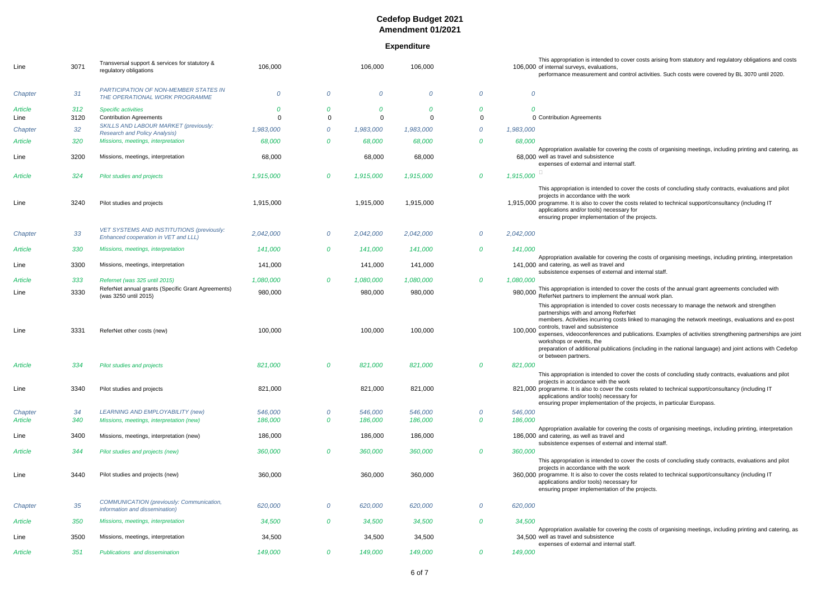### **Expenditure**

This appropriation is intended to cover costs arising from statutory and regulatory obligations and costs activities. Such costs were covered by BL 3070 until 2020.

costs of organising meetings, including printing and catering, as

the costs of concluding study contracts, evaluations and pilot

costs of organising meetings, including printing, interpretation

red to managing the network meetings, evaluations and ex-post

cations. Examples of activities strengthening partnerships are joint

ncluding in the national language) and joint actions with Cedefop

the costs of concluding study contracts, evaluations and pilot

costs of organising meetings, including printing, interpretation

the costs of concluding study contracts, evaluations and pilot

costs of organising meetings, including printing and catering, as

| Line           | 3071 | Transversal support & services for statutory &<br>regulatory obligations             | 106,000   |                  | 106,000   | 106,000   |                  |           | This appropriation is intended to cover costs arising from statutory and regulatory obligations and<br>106,000 of internal surveys, evaluations,<br>performance measurement and control activities. Such costs were covered by BL 3070 until 202                                                                                                                                                                                                                                                                                         |
|----------------|------|--------------------------------------------------------------------------------------|-----------|------------------|-----------|-----------|------------------|-----------|------------------------------------------------------------------------------------------------------------------------------------------------------------------------------------------------------------------------------------------------------------------------------------------------------------------------------------------------------------------------------------------------------------------------------------------------------------------------------------------------------------------------------------------|
| Chapter        | 31   | PARTICIPATION OF NON-MEMBER STATES IN<br>THE OPERATIONAL WORK PROGRAMME              | $\theta$  | $\theta$         | 0         | $\theta$  | $\overline{O}$   | $\theta$  |                                                                                                                                                                                                                                                                                                                                                                                                                                                                                                                                          |
| <b>Article</b> | 312  | <b>Specific activities</b>                                                           | 0         | 0                | 0         | 0         | 0                |           |                                                                                                                                                                                                                                                                                                                                                                                                                                                                                                                                          |
| Line           | 3120 | <b>Contribution Agreements</b>                                                       | $\Omega$  | 0                | $\Omega$  | $\Omega$  | $\Omega$         |           | 0 Contribution Agreements                                                                                                                                                                                                                                                                                                                                                                                                                                                                                                                |
| Chapter        | 32   | <b>SKILLS AND LABOUR MARKET (previously:</b><br><b>Research and Policy Analysis)</b> | 1,983,000 | 0                | 1,983,000 | 1,983,000 | $\overline{O}$   | 1,983,000 |                                                                                                                                                                                                                                                                                                                                                                                                                                                                                                                                          |
| Article        | 320  | Missions, meetings, interpretation                                                   | 68,000    | 0                | 68,000    | 68,000    | $\overline{O}$   | 68,000    |                                                                                                                                                                                                                                                                                                                                                                                                                                                                                                                                          |
| Line           | 3200 | Missions, meetings, interpretation                                                   | 68,000    |                  | 68,000    | 68,000    |                  |           | Appropriation available for covering the costs of organising meetings, including printing and cate<br>68,000 well as travel and subsistence<br>expenses of external and internal staff.                                                                                                                                                                                                                                                                                                                                                  |
| Article        | 324  | <b>Pilot studies and projects</b>                                                    | 1,915,000 | $\mathcal{O}$    | 1,915,000 | 1,915,000 | 0                | 1,915,000 |                                                                                                                                                                                                                                                                                                                                                                                                                                                                                                                                          |
| Line           | 3240 | Pilot studies and projects                                                           | 1,915,000 |                  | 1,915,000 | 1,915,000 |                  |           | This appropriation is intended to cover the costs of concluding study contracts, evaluations and<br>projects in accordance with the work<br>1,915,000 programme. It is also to cover the costs related to technical support/consultancy (including IT<br>applications and/or tools) necessary for                                                                                                                                                                                                                                        |
|                |      |                                                                                      |           |                  |           |           |                  |           | ensuring proper implementation of the projects.                                                                                                                                                                                                                                                                                                                                                                                                                                                                                          |
| Chapter        | 33   | VET SYSTEMS AND INSTITUTIONS (previously:<br>Enhanced cooperation in VET and LLL)    | 2,042,000 | $\overline{O}$   | 2,042,000 | 2,042,000 | $\overline{O}$   | 2,042,000 |                                                                                                                                                                                                                                                                                                                                                                                                                                                                                                                                          |
| Article        | 330  | Missions, meetings, interpretation                                                   | 141,000   | $\boldsymbol{0}$ | 141,000   | 141,000   | $\boldsymbol{o}$ | 141,000   |                                                                                                                                                                                                                                                                                                                                                                                                                                                                                                                                          |
| Line           | 3300 | Missions, meetings, interpretation                                                   | 141,000   |                  | 141,000   | 141,000   |                  |           | Appropriation available for covering the costs of organising meetings, including printing, interpret<br>141,000 and catering, as well as travel and<br>subsistence expenses of external and internal staff.                                                                                                                                                                                                                                                                                                                              |
| <b>Article</b> | 333  | Refernet (was 325 until 2015)                                                        | 1,080,000 | $\bm{o}$         | 1,080,000 | 1,080,000 | $\bm{O}$         | 1,080,000 |                                                                                                                                                                                                                                                                                                                                                                                                                                                                                                                                          |
| Line           | 3330 | ReferNet annual grants (Specific Grant Agreements)<br>(was 3250 until 2015)          | 980,000   |                  | 980,000   | 980,000   |                  | 980,000   | This appropriation is intended to cover the costs of the annual grant agreements concluded with<br>ReferNet partners to implement the annual work plan.                                                                                                                                                                                                                                                                                                                                                                                  |
| Line           | 3331 | ReferNet other costs (new)                                                           | 100,000   |                  | 100,000   | 100,000   |                  | 100,000   | This appropriation is intended to cover costs necessary to manage the network and strengthen<br>partnerships with and among ReferNet<br>members. Activities incurring costs linked to managing the network meetings, evaluations and e<br>controls, travel and subsistence<br>expenses, videoconferences and publications. Examples of activities strengthening partnerships<br>workshops or events, the<br>preparation of additional publications (including in the national language) and joint actions with C<br>or between partners. |
| Article        | 334  | <b>Pilot studies and projects</b>                                                    | 821,000   | 0                | 821,000   | 821,000   | 0                | 821,000   | This appropriation is intended to cover the costs of concluding study contracts, evaluations and post                                                                                                                                                                                                                                                                                                                                                                                                                                    |
| Line           | 3340 | Pilot studies and projects                                                           | 821,000   |                  | 821,000   | 821,000   |                  |           | projects in accordance with the work<br>821,000 programme. It is also to cover the costs related to technical support/consultancy (including IT<br>applications and/or tools) necessary for<br>ensuring proper implementation of the projects, in particular Europass.                                                                                                                                                                                                                                                                   |
| Chapter        | 34   | <b>LEARNING AND EMPLOYABILITY (new)</b>                                              | 546,000   | 0                | 546,000   | 546,000   | 0                | 546,000   |                                                                                                                                                                                                                                                                                                                                                                                                                                                                                                                                          |
| Article        | 340  | Missions, meetings, interpretation (new)                                             | 186,000   | 0                | 186,000   | 186,000   | $\boldsymbol{0}$ | 186,000   |                                                                                                                                                                                                                                                                                                                                                                                                                                                                                                                                          |
| Line           | 3400 | Missions, meetings, interpretation (new)                                             | 186,000   |                  | 186,000   | 186,000   |                  |           | Appropriation available for covering the costs of organising meetings, including printing, interpret<br>186,000 and catering, as well as travel and<br>subsistence expenses of external and internal staff.                                                                                                                                                                                                                                                                                                                              |
| Article        | 344  | Pilot studies and projects (new)                                                     | 360,000   | $\boldsymbol{o}$ | 360,000   | 360,000   | 0                | 360,000   | This appropriation is intended to cover the costs of concluding study contracts, evaluations and                                                                                                                                                                                                                                                                                                                                                                                                                                         |
| Line           | 3440 | Pilot studies and projects (new)                                                     | 360,000   |                  | 360,000   | 360,000   |                  |           | projects in accordance with the work<br>360,000 programme. It is also to cover the costs related to technical support/consultancy (including IT<br>applications and/or tools) necessary for<br>ensuring proper implementation of the projects.                                                                                                                                                                                                                                                                                           |
| Chapter        | 35   | COMMUNICATION (previously: Communication,<br>information and dissemination)          | 620,000   | $\overline{O}$   | 620,000   | 620,000   | $\overline{O}$   | 620,000   |                                                                                                                                                                                                                                                                                                                                                                                                                                                                                                                                          |
| Article        | 350  | Missions, meetings, interpretation                                                   | 34,500    | $\boldsymbol{0}$ | 34,500    | 34,500    | 0                | 34,500    | Appropriation available for covering the costs of organising meetings, including printing and cate                                                                                                                                                                                                                                                                                                                                                                                                                                       |
| Line           | 3500 | Missions, meetings, interpretation                                                   | 34,500    |                  | 34,500    | 34,500    |                  |           | 34.500 well as travel and subsistence<br>expenses of external and internal staff.                                                                                                                                                                                                                                                                                                                                                                                                                                                        |
| Article        | 351  | Publications and dissemination                                                       | 149,000   | $\boldsymbol{0}$ | 149,000   | 149,000   | $\boldsymbol{o}$ | 149,000   |                                                                                                                                                                                                                                                                                                                                                                                                                                                                                                                                          |